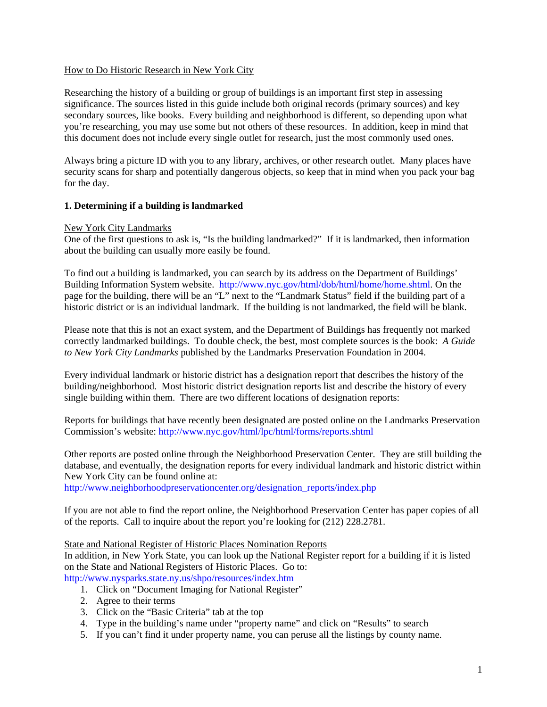## How to Do Historic Research in New York City

Researching the history of a building or group of buildings is an important first step in assessing significance. The sources listed in this guide include both original records (primary sources) and key secondary sources, like books. Every building and neighborhood is different, so depending upon what you're researching, you may use some but not others of these resources. In addition, keep in mind that this document does not include every single outlet for research, just the most commonly used ones.

Always bring a picture ID with you to any library, archives, or other research outlet. Many places have security scans for sharp and potentially dangerous objects, so keep that in mind when you pack your bag for the day.

# **1. Determining if a building is landmarked**

## New York City Landmarks

One of the first questions to ask is, "Is the building landmarked?" If it is landmarked, then information about the building can usually more easily be found.

To find out a building is landmarked, you can search by its address on the Department of Buildings' Building Information System website. [http://www.nyc.gov/html/dob/html/home/home.shtml.](http://www.nyc.gov/html/dob/html/home/home.shtml) On the page for the building, there will be an "L" next to the "Landmark Status" field if the building part of a historic district or is an individual landmark. If the building is not landmarked, the field will be blank.

Please note that this is not an exact system, and the Department of Buildings has frequently not marked correctly landmarked buildings. To double check, the best, most complete sources is the book: *A Guide to New York City Landmarks* published by the Landmarks Preservation Foundation in 2004.

Every individual landmark or historic district has a designation report that describes the history of the building/neighborhood. Most historic district designation reports list and describe the history of every single building within them. There are two different locations of designation reports:

Reports for buildings that have recently been designated are posted online on the Landmarks Preservation Commission's website: <http://www.nyc.gov/html/lpc/html/forms/reports.shtml>

Other reports are posted online through the Neighborhood Preservation Center. They are still building the database, and eventually, the designation reports for every individual landmark and historic district within New York City can be found online at:

[http://www.neighborhoodpreservationcenter.org/designation\\_reports/index.php](http://www.neighborhoodpreservationcenter.org/designation_reports/index.php)

If you are not able to find the report online, the Neighborhood Preservation Center has paper copies of all of the reports. Call to inquire about the report you're looking for (212) 228.2781.

## State and National Register of Historic Places Nomination Reports

In addition, in New York State, you can look up the National Register report for a building if it is listed on the State and National Registers of Historic Places. Go to:

<http://www.nysparks.state.ny.us/shpo/resources/index.htm>

- 1. Click on "Document Imaging for National Register"
- 2. Agree to their terms
- 3. Click on the "Basic Criteria" tab at the top
- 4. Type in the building's name under "property name" and click on "Results" to search
- 5. If you can't find it under property name, you can peruse all the listings by county name.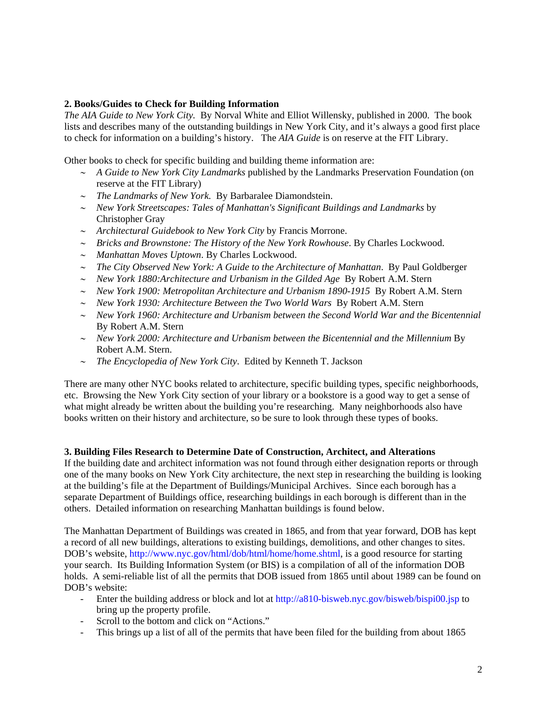## **2. Books/Guides to Check for Building Information**

*The AIA Guide to New York City.* By Norval White and Elliot Willensky, published in 2000. The book lists and describes many of the outstanding buildings in New York City, and it's always a good first place to check for information on a building's history. The *AIA Guide* is on reserve at the FIT Library.

Other books to check for specific building and building theme information are:

- *A Guide to New York City Landmarks* published by the Landmarks Preservation Foundation (on reserve at the FIT Library)
- *The Landmarks of New York.* By Barbaralee Diamondstein.
- *New York Streetscapes: Tales of Manhattan's Significant Buildings and Landmarks* by Christopher Gray
- *Architectural Guidebook to New York City* by Francis Morrone.
- *Bricks and Brownstone: The History of the New York Rowhouse*. By Charles Lockwood.
- *Manhattan Moves Uptown*. By Charles Lockwood.
- *The City Observed New York: A Guide to the Architecture of Manhattan*. By Paul Goldberger
- *New York 1880:Architecture and Urbanism in the Gilded Age* By Robert A.M. Stern
- *New York 1900: Metropolitan Architecture and Urbanism 1890-1915* By Robert A.M. Stern
- *New York 1930: Architecture Between the Two World Wars* By Robert A.M. Stern
- *New York 1960: Architecture and Urbanism between the Second World War and the Bicentennial*  By Robert A.M. Stern
- *New York 2000: Architecture and Urbanism between the Bicentennial and the Millennium* By Robert A.M. Stern.
- *The Encyclopedia of New York City*. Edited by Kenneth T. Jackson

There are many other NYC books related to architecture, specific building types, specific neighborhoods, etc. Browsing the New York City section of your library or a bookstore is a good way to get a sense of what might already be written about the building you're researching. Many neighborhoods also have books written on their history and architecture, so be sure to look through these types of books.

## **3. Building Files Research to Determine Date of Construction, Architect, and Alterations**

If the building date and architect information was not found through either designation reports or through one of the many books on New York City architecture, the next step in researching the building is looking at the building's file at the Department of Buildings/Municipal Archives. Since each borough has a separate Department of Buildings office, researching buildings in each borough is different than in the others. Detailed information on researching Manhattan buildings is found below.

The Manhattan Department of Buildings was created in 1865, and from that year forward, DOB has kept a record of all new buildings, alterations to existing buildings, demolitions, and other changes to sites. DOB's website,<http://www.nyc.gov/html/dob/html/home/home.shtml>, is a good resource for starting your search. Its Building Information System (or BIS) is a compilation of all of the information DOB holds. A semi-reliable list of all the permits that DOB issued from 1865 until about 1989 can be found on DOB's website:

- Enter the building address or block and lot at <http://a810-bisweb.nyc.gov/bisweb/bispi00.jsp> to bring up the property profile.
- Scroll to the bottom and click on "Actions."
- This brings up a list of all of the permits that have been filed for the building from about 1865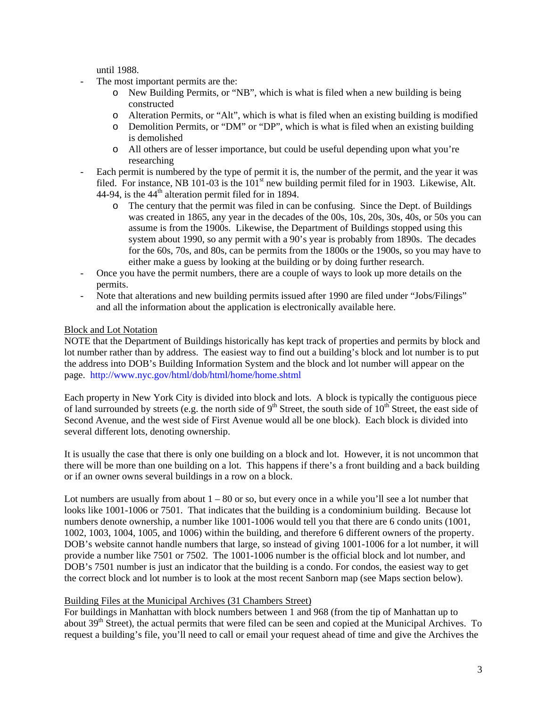until 1988.

- The most important permits are the:
	- o New Building Permits, or "NB", which is what is filed when a new building is being constructed
	- o Alteration Permits, or "Alt", which is what is filed when an existing building is modified
	- o Demolition Permits, or "DM" or "DP", which is what is filed when an existing building is demolished
	- o All others are of lesser importance, but could be useful depending upon what you're researching
- Each permit is numbered by the type of permit it is, the number of the permit, and the year it was filed. For instance, NB 101-03 is the  $101<sup>st</sup>$  new building permit filed for in 1903. Likewise, Alt. 44-94, is the  $44<sup>th</sup>$  alteration permit filed for in 1894.
	- o The century that the permit was filed in can be confusing. Since the Dept. of Buildings was created in 1865, any year in the decades of the 00s, 10s, 20s, 30s, 40s, or 50s you can assume is from the 1900s. Likewise, the Department of Buildings stopped using this system about 1990, so any permit with a 90's year is probably from 1890s. The decades for the 60s, 70s, and 80s, can be permits from the 1800s or the 1900s, so you may have to either make a guess by looking at the building or by doing further research.
- Once you have the permit numbers, there are a couple of ways to look up more details on the permits.
- Note that alterations and new building permits issued after 1990 are filed under "Jobs/Filings" and all the information about the application is electronically available here.

# Block and Lot Notation

NOTE that the Department of Buildings historically has kept track of properties and permits by block and lot number rather than by address. The easiest way to find out a building's block and lot number is to put the address into DOB's Building Information System and the block and lot number will appear on the page. <http://www.nyc.gov/html/dob/html/home/home.shtml>

Each property in New York City is divided into block and lots. A block is typically the contiguous piece of land surrounded by streets (e.g. the north side of  $9<sup>th</sup>$  Street, the south side of  $10<sup>th</sup>$  Street, the east side of Second Avenue, and the west side of First Avenue would all be one block). Each block is divided into several different lots, denoting ownership.

It is usually the case that there is only one building on a block and lot. However, it is not uncommon that there will be more than one building on a lot. This happens if there's a front building and a back building or if an owner owns several buildings in a row on a block.

Lot numbers are usually from about  $1 - 80$  or so, but every once in a while you'll see a lot number that looks like 1001-1006 or 7501. That indicates that the building is a condominium building. Because lot numbers denote ownership, a number like 1001-1006 would tell you that there are 6 condo units (1001, 1002, 1003, 1004, 1005, and 1006) within the building, and therefore 6 different owners of the property. DOB's website cannot handle numbers that large, so instead of giving 1001-1006 for a lot number, it will provide a number like 7501 or 7502. The 1001-1006 number is the official block and lot number, and DOB's 7501 number is just an indicator that the building is a condo. For condos, the easiest way to get the correct block and lot number is to look at the most recent Sanborn map (see Maps section below).

# Building Files at the Municipal Archives (31 Chambers Street)

For buildings in Manhattan with block numbers between 1 and 968 (from the tip of Manhattan up to about 39<sup>th</sup> Street), the actual permits that were filed can be seen and copied at the Municipal Archives. To request a building's file, you'll need to call or email your request ahead of time and give the Archives the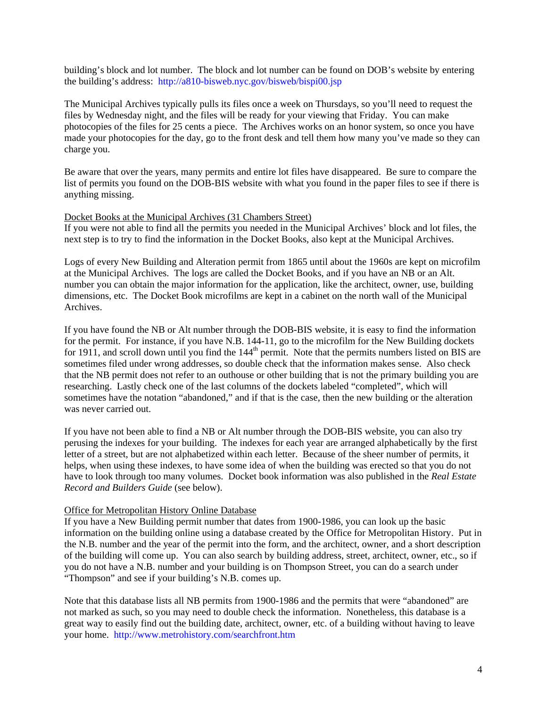building's block and lot number. The block and lot number can be found on DOB's website by entering the building's address: <http://a810-bisweb.nyc.gov/bisweb/bispi00.jsp>

The Municipal Archives typically pulls its files once a week on Thursdays, so you'll need to request the files by Wednesday night, and the files will be ready for your viewing that Friday. You can make photocopies of the files for 25 cents a piece. The Archives works on an honor system, so once you have made your photocopies for the day, go to the front desk and tell them how many you've made so they can charge you.

Be aware that over the years, many permits and entire lot files have disappeared. Be sure to compare the list of permits you found on the DOB-BIS website with what you found in the paper files to see if there is anything missing.

#### Docket Books at the Municipal Archives (31 Chambers Street)

If you were not able to find all the permits you needed in the Municipal Archives' block and lot files, the next step is to try to find the information in the Docket Books, also kept at the Municipal Archives.

Logs of every New Building and Alteration permit from 1865 until about the 1960s are kept on microfilm at the Municipal Archives. The logs are called the Docket Books, and if you have an NB or an Alt. number you can obtain the major information for the application, like the architect, owner, use, building dimensions, etc. The Docket Book microfilms are kept in a cabinet on the north wall of the Municipal Archives.

If you have found the NB or Alt number through the DOB-BIS website, it is easy to find the information for the permit. For instance, if you have N.B. 144-11, go to the microfilm for the New Building dockets for 1911, and scroll down until you find the  $144<sup>th</sup>$  permit. Note that the permits numbers listed on BIS are sometimes filed under wrong addresses, so double check that the information makes sense. Also check that the NB permit does not refer to an outhouse or other building that is not the primary building you are researching. Lastly check one of the last columns of the dockets labeled "completed", which will sometimes have the notation "abandoned," and if that is the case, then the new building or the alteration was never carried out.

If you have not been able to find a NB or Alt number through the DOB-BIS website, you can also try perusing the indexes for your building. The indexes for each year are arranged alphabetically by the first letter of a street, but are not alphabetized within each letter. Because of the sheer number of permits, it helps, when using these indexes, to have some idea of when the building was erected so that you do not have to look through too many volumes. Docket book information was also published in the *Real Estate Record and Builders Guide* (see below).

### Office for Metropolitan History Online Database

If you have a New Building permit number that dates from 1900-1986, you can look up the basic information on the building online using a database created by the Office for Metropolitan History. Put in the N.B. number and the year of the permit into the form, and the architect, owner, and a short description of the building will come up. You can also search by building address, street, architect, owner, etc., so if you do not have a N.B. number and your building is on Thompson Street, you can do a search under "Thompson" and see if your building's N.B. comes up.

Note that this database lists all NB permits from 1900-1986 and the permits that were "abandoned" are not marked as such, so you may need to double check the information. Nonetheless, this database is a great way to easily find out the building date, architect, owner, etc. of a building without having to leave your home. <http://www.metrohistory.com/searchfront.htm>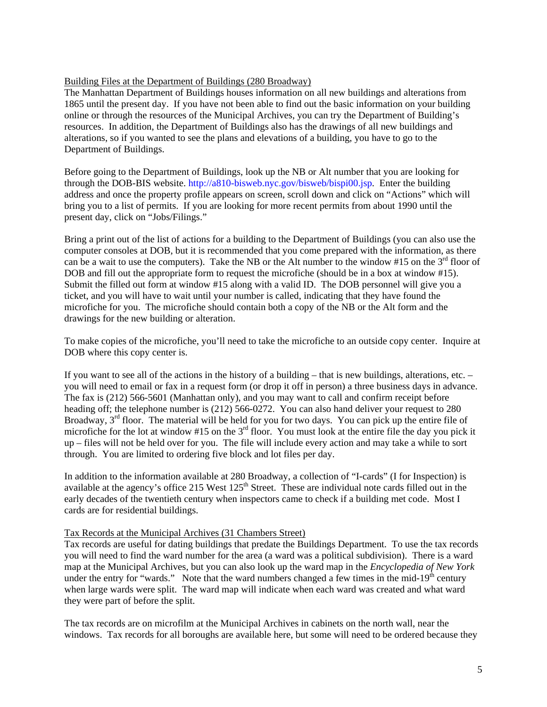## Building Files at the Department of Buildings (280 Broadway)

The Manhattan Department of Buildings houses information on all new buildings and alterations from 1865 until the present day. If you have not been able to find out the basic information on your building online or through the resources of the Municipal Archives, you can try the Department of Building's resources. In addition, the Department of Buildings also has the drawings of all new buildings and alterations, so if you wanted to see the plans and elevations of a building, you have to go to the Department of Buildings.

Before going to the Department of Buildings, look up the NB or Alt number that you are looking for through the DOB-BIS website. [http://a810-bisweb.nyc.gov/bisweb/bispi00.jsp.](http://a810-bisweb.nyc.gov/bisweb/bispi00.jsp) Enter the building address and once the property profile appears on screen, scroll down and click on "Actions" which will bring you to a list of permits. If you are looking for more recent permits from about 1990 until the present day, click on "Jobs/Filings."

Bring a print out of the list of actions for a building to the Department of Buildings (you can also use the computer consoles at DOB, but it is recommended that you come prepared with the information, as there can be a wait to use the computers). Take the NB or the Alt number to the window #15 on the  $3<sup>rd</sup>$  floor of DOB and fill out the appropriate form to request the microfiche (should be in a box at window #15). Submit the filled out form at window #15 along with a valid ID. The DOB personnel will give you a ticket, and you will have to wait until your number is called, indicating that they have found the microfiche for you. The microfiche should contain both a copy of the NB or the Alt form and the drawings for the new building or alteration.

To make copies of the microfiche, you'll need to take the microfiche to an outside copy center. Inquire at DOB where this copy center is.

If you want to see all of the actions in the history of a building – that is new buildings, alterations, etc. – you will need to email or fax in a request form (or drop it off in person) a three business days in advance. The fax is (212) 566-5601 (Manhattan only), and you may want to call and confirm receipt before heading off; the telephone number is (212) 566-0272. You can also hand deliver your request to 280 Broadway,  $3<sup>rd</sup>$  floor. The material will be held for you for two days. You can pick up the entire file of microfiche for the lot at window #15 on the  $3<sup>rd</sup>$  floor. You must look at the entire file the day you pick it up – files will not be held over for you. The file will include every action and may take a while to sort through. You are limited to ordering five block and lot files per day.

In addition to the information available at 280 Broadway, a collection of "I-cards" (I for Inspection) is available at the agency's office 215 West 125<sup>th</sup> Street. These are individual note cards filled out in the early decades of the twentieth century when inspectors came to check if a building met code. Most I cards are for residential buildings.

## Tax Records at the Municipal Archives (31 Chambers Street)

Tax records are useful for dating buildings that predate the Buildings Department. To use the tax records you will need to find the ward number for the area (a ward was a political subdivision). There is a ward map at the Municipal Archives, but you can also look up the ward map in the *Encyclopedia of New York* under the entry for "wards." Note that the ward numbers changed a few times in the mid-19<sup>th</sup> century when large wards were split. The ward map will indicate when each ward was created and what ward they were part of before the split.

The tax records are on microfilm at the Municipal Archives in cabinets on the north wall, near the windows. Tax records for all boroughs are available here, but some will need to be ordered because they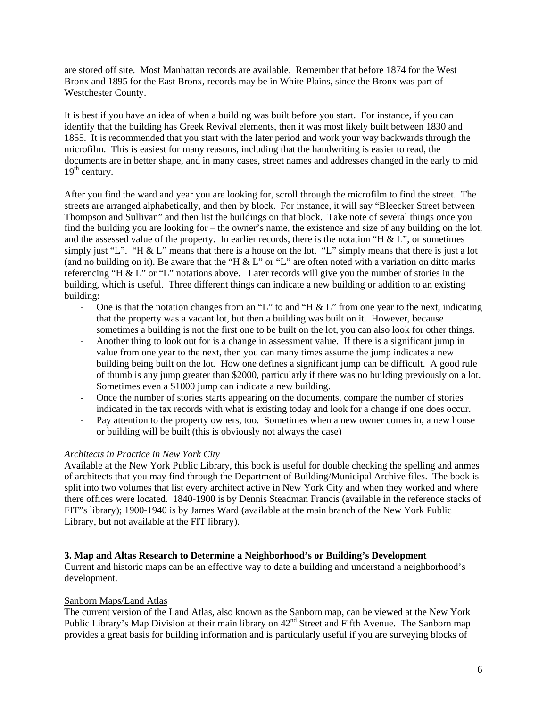are stored off site. Most Manhattan records are available. Remember that before 1874 for the West Bronx and 1895 for the East Bronx, records may be in White Plains, since the Bronx was part of Westchester County.

It is best if you have an idea of when a building was built before you start. For instance, if you can identify that the building has Greek Revival elements, then it was most likely built between 1830 and 1855. It is recommended that you start with the later period and work your way backwards through the microfilm. This is easiest for many reasons, including that the handwriting is easier to read, the documents are in better shape, and in many cases, street names and addresses changed in the early to mid  $19<sup>th</sup>$  century.

After you find the ward and year you are looking for, scroll through the microfilm to find the street. The streets are arranged alphabetically, and then by block. For instance, it will say "Bleecker Street between Thompson and Sullivan" and then list the buildings on that block. Take note of several things once you find the building you are looking for – the owner's name, the existence and size of any building on the lot, and the assessed value of the property. In earlier records, there is the notation "H  $\&$  L", or sometimes simply just "L". "H & L" means that there is a house on the lot. "L" simply means that there is just a lot (and no building on it). Be aware that the "H & L" or "L" are often noted with a variation on ditto marks referencing "H & L" or "L" notations above. Later records will give you the number of stories in the building, which is useful. Three different things can indicate a new building or addition to an existing building:

- One is that the notation changes from an "L" to and "H  $\&$  L" from one year to the next, indicating that the property was a vacant lot, but then a building was built on it. However, because sometimes a building is not the first one to be built on the lot, you can also look for other things.
- Another thing to look out for is a change in assessment value. If there is a significant jump in value from one year to the next, then you can many times assume the jump indicates a new building being built on the lot. How one defines a significant jump can be difficult. A good rule of thumb is any jump greater than \$2000, particularly if there was no building previously on a lot. Sometimes even a \$1000 jump can indicate a new building.
- Once the number of stories starts appearing on the documents, compare the number of stories indicated in the tax records with what is existing today and look for a change if one does occur.
- Pay attention to the property owners, too. Sometimes when a new owner comes in, a new house or building will be built (this is obviously not always the case)

# *Architects in Practice in New York City*

Available at the New York Public Library, this book is useful for double checking the spelling and anmes of architects that you may find through the Department of Building/Municipal Archive files. The book is split into two volumes that list every architect active in New York City and when they worked and where there offices were located. 1840-1900 is by Dennis Steadman Francis (available in the reference stacks of FIT"s library); 1900-1940 is by James Ward (available at the main branch of the New York Public Library, but not available at the FIT library).

## **3. Map and Altas Research to Determine a Neighborhood's or Building's Development**

Current and historic maps can be an effective way to date a building and understand a neighborhood's development.

## Sanborn Maps/Land Atlas

The current version of the Land Atlas, also known as the Sanborn map, can be viewed at the New York Public Library's Map Division at their main library on  $42<sup>nd</sup>$  Street and Fifth Avenue. The Sanborn map provides a great basis for building information and is particularly useful if you are surveying blocks of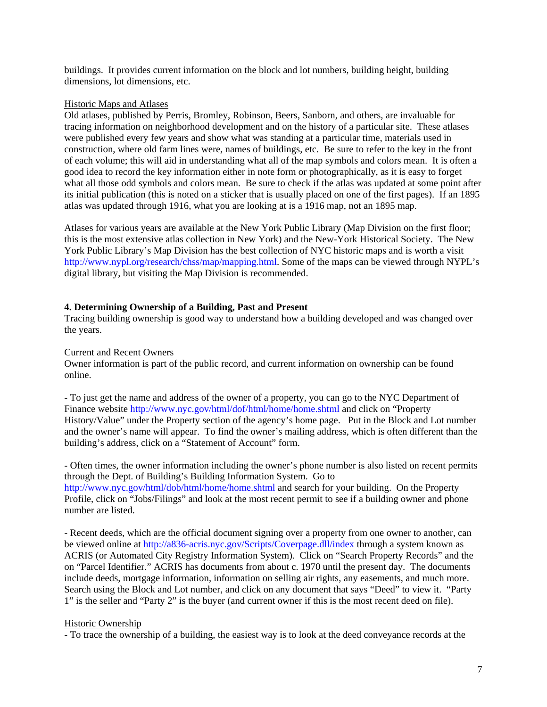buildings. It provides current information on the block and lot numbers, building height, building dimensions, lot dimensions, etc.

## Historic Maps and Atlases

Old atlases, published by Perris, Bromley, Robinson, Beers, Sanborn, and others, are invaluable for tracing information on neighborhood development and on the history of a particular site. These atlases were published every few years and show what was standing at a particular time, materials used in construction, where old farm lines were, names of buildings, etc. Be sure to refer to the key in the front of each volume; this will aid in understanding what all of the map symbols and colors mean. It is often a good idea to record the key information either in note form or photographically, as it is easy to forget what all those odd symbols and colors mean. Be sure to check if the atlas was updated at some point after its initial publication (this is noted on a sticker that is usually placed on one of the first pages). If an 1895 atlas was updated through 1916, what you are looking at is a 1916 map, not an 1895 map.

Atlases for various years are available at the New York Public Library (Map Division on the first floor; this is the most extensive atlas collection in New York) and the New-York Historical Society. The New York Public Library's Map Division has the best collection of NYC historic maps and is worth a visit <http://www.nypl.org/research/chss/map/mapping.html>. Some of the maps can be viewed through NYPL's digital library, but visiting the Map Division is recommended.

## **4. Determining Ownership of a Building, Past and Present**

Tracing building ownership is good way to understand how a building developed and was changed over the years.

## Current and Recent Owners

Owner information is part of the public record, and current information on ownership can be found online.

- To just get the name and address of the owner of a property, you can go to the NYC Department of Finance website <http://www.nyc.gov/html/dof/html/home/home.shtml> and click on "Property History/Value" under the Property section of the agency's home page. Put in the Block and Lot number and the owner's name will appear. To find the owner's mailing address, which is often different than the building's address, click on a "Statement of Account" form.

- Often times, the owner information including the owner's phone number is also listed on recent permits through the Dept. of Building's Building Information System. Go to <http://www.nyc.gov/html/dob/html/home/home.shtml> and search for your building. On the Property Profile, click on "Jobs/Filings" and look at the most recent permit to see if a building owner and phone number are listed.

- Recent deeds, which are the official document signing over a property from one owner to another, can be viewed online at <http://a836-acris.nyc.gov/Scripts/Coverpage.dll/index>through a system known as ACRIS (or Automated City Registry Information System). Click on "Search Property Records" and the on "Parcel Identifier." ACRIS has documents from about c. 1970 until the present day. The documents include deeds, mortgage information, information on selling air rights, any easements, and much more. Search using the Block and Lot number, and click on any document that says "Deed" to view it. "Party 1" is the seller and "Party 2" is the buyer (and current owner if this is the most recent deed on file).

### Historic Ownership

- To trace the ownership of a building, the easiest way is to look at the deed conveyance records at the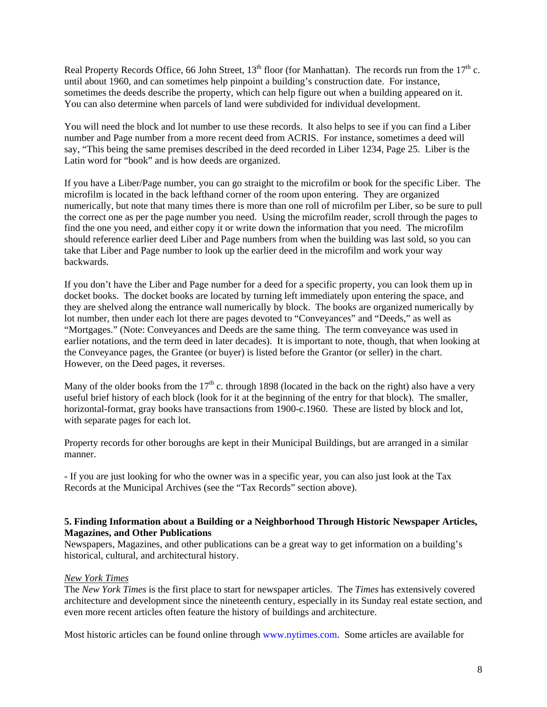Real Property Records Office, 66 John Street,  $13<sup>th</sup>$  floor (for Manhattan). The records run from the  $17<sup>th</sup>$  c. until about 1960, and can sometimes help pinpoint a building's construction date. For instance, sometimes the deeds describe the property, which can help figure out when a building appeared on it. You can also determine when parcels of land were subdivided for individual development.

You will need the block and lot number to use these records. It also helps to see if you can find a Liber number and Page number from a more recent deed from ACRIS. For instance, sometimes a deed will say, "This being the same premises described in the deed recorded in Liber 1234, Page 25. Liber is the Latin word for "book" and is how deeds are organized.

If you have a Liber/Page number, you can go straight to the microfilm or book for the specific Liber. The microfilm is located in the back lefthand corner of the room upon entering. They are organized numerically, but note that many times there is more than one roll of microfilm per Liber, so be sure to pull the correct one as per the page number you need. Using the microfilm reader, scroll through the pages to find the one you need, and either copy it or write down the information that you need. The microfilm should reference earlier deed Liber and Page numbers from when the building was last sold, so you can take that Liber and Page number to look up the earlier deed in the microfilm and work your way backwards.

If you don't have the Liber and Page number for a deed for a specific property, you can look them up in docket books. The docket books are located by turning left immediately upon entering the space, and they are shelved along the entrance wall numerically by block. The books are organized numerically by lot number, then under each lot there are pages devoted to "Conveyances" and "Deeds," as well as "Mortgages." (Note: Conveyances and Deeds are the same thing. The term conveyance was used in earlier notations, and the term deed in later decades). It is important to note, though, that when looking at the Conveyance pages, the Grantee (or buyer) is listed before the Grantor (or seller) in the chart. However, on the Deed pages, it reverses.

Many of the older books from the  $17<sup>th</sup>$  c. through 1898 (located in the back on the right) also have a very useful brief history of each block (look for it at the beginning of the entry for that block). The smaller, horizontal-format, gray books have transactions from 1900-c.1960. These are listed by block and lot, with separate pages for each lot.

Property records for other boroughs are kept in their Municipal Buildings, but are arranged in a similar manner.

- If you are just looking for who the owner was in a specific year, you can also just look at the Tax Records at the Municipal Archives (see the "Tax Records" section above).

## **5. Finding Information about a Building or a Neighborhood Through Historic Newspaper Articles, Magazines, and Other Publications**

Newspapers, Magazines, and other publications can be a great way to get information on a building's historical, cultural, and architectural history.

## *New York Times*

The *New York Times* is the first place to start for newspaper articles. The *Times* has extensively covered architecture and development since the nineteenth century, especially in its Sunday real estate section, and even more recent articles often feature the history of buildings and architecture.

Most historic articles can be found online through [www.nytimes.com](http://www.nytimes.com/). Some articles are available for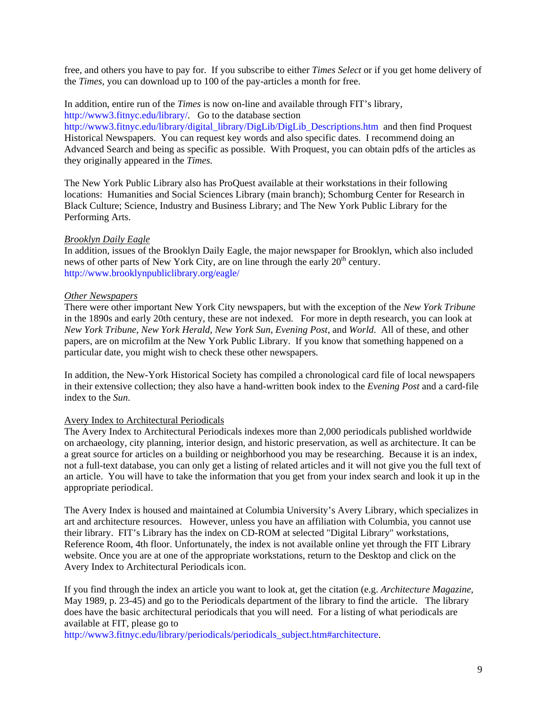free, and others you have to pay for. If you subscribe to either *Times Select* or if you get home delivery of the *Times,* you can download up to 100 of the pay-articles a month for free.

In addition, entire run of the *Times* is now on-line and available through FIT's library, <http://www3.fitnyc.edu/library/>. Go to the database section

[http://www3.fitnyc.edu/library/digital\\_library/DigLib/DigLib\\_Descriptions.htm](http://www3.fitnyc.edu/library/digital_library/DigLib/DigLib_Descriptions.htm) and then find Proquest Historical Newspapers. You can request key words and also specific dates. I recommend doing an Advanced Search and being as specific as possible. With Proquest, you can obtain pdfs of the articles as they originally appeared in the *Times.* 

The New York Public Library also has ProQuest available at their workstations in their following locations: Humanities and Social Sciences Library (main branch); Schomburg Center for Research in Black Culture; Science, Industry and Business Library; and The New York Public Library for the Performing Arts.

### *Brooklyn Daily Eagle*

In addition, issues of the Brooklyn Daily Eagle, the major newspaper for Brooklyn, which also included news of other parts of New York City, are on line through the early 20<sup>th</sup> century. <http://www.brooklynpubliclibrary.org/eagle/>

### *Other Newspapers*

There were other important New York City newspapers, but with the exception of the *New York Tribune* in the 1890s and early 20th century, these are not indexed. For more in depth research, you can look at *New York Tribune*, *New York Herald*, *New York Sun*, *Evening Post*, and *World*. All of these, and other papers, are on microfilm at the New York Public Library. If you know that something happened on a particular date, you might wish to check these other newspapers.

In addition, the New-York Historical Society has compiled a chronological card file of local newspapers in their extensive collection; they also have a hand-written book index to the *Evening Post* and a card-file index to the *Sun*.

## Avery Index to Architectural Periodicals

The Avery Index to Architectural Periodicals indexes more than 2,000 periodicals published worldwide on archaeology, city planning, interior design, and historic preservation, as well as architecture. It can be a great source for articles on a building or neighborhood you may be researching. Because it is an index, not a full-text database, you can only get a listing of related articles and it will not give you the full text of an article. You will have to take the information that you get from your index search and look it up in the appropriate periodical.

The Avery Index is housed and maintained at Columbia University's Avery Library, which specializes in art and architecture resources. However, unless you have an affiliation with Columbia, you cannot use their library. FIT's Library has the index on CD-ROM at selected "Digital Library" workstations, Reference Room, 4th floor. Unfortunately, the index is not available online yet through the FIT Library website. Once you are at one of the appropriate workstations, return to the Desktop and click on the Avery Index to Architectural Periodicals icon.

If you find through the index an article you want to look at, get the citation (e.g. *Architecture Magazine*, May 1989, p. 23-45) and go to the Periodicals department of the library to find the article. The library does have the basic architectural periodicals that you will need. For a listing of what periodicals are available at FIT, please go to

[http://www3.fitnyc.edu/library/periodicals/periodicals\\_subject.htm#architecture.](http://www3.fitnyc.edu/library/periodicals/periodicals_subject.htm#architecture)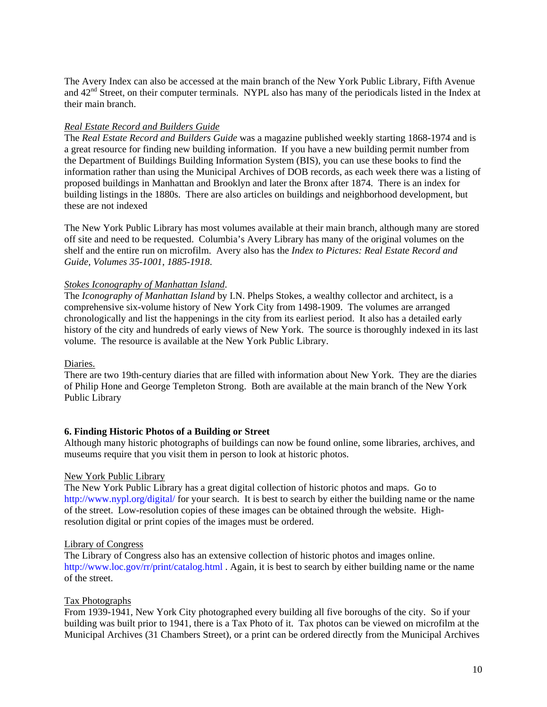The Avery Index can also be accessed at the main branch of the New York Public Library, Fifth Avenue and  $42<sup>nd</sup>$  Street, on their computer terminals. NYPL also has many of the periodicals listed in the Index at their main branch.

## *Real Estate Record and Builders Guide*

The *Real Estate Record and Builders Guide* was a magazine published weekly starting 1868-1974 and is a great resource for finding new building information. If you have a new building permit number from the Department of Buildings Building Information System (BIS), you can use these books to find the information rather than using the Municipal Archives of DOB records, as each week there was a listing of proposed buildings in Manhattan and Brooklyn and later the Bronx after 1874. There is an index for building listings in the 1880s. There are also articles on buildings and neighborhood development, but these are not indexed

The New York Public Library has most volumes available at their main branch, although many are stored off site and need to be requested. Columbia's Avery Library has many of the original volumes on the shelf and the entire run on microfilm. Avery also has the *Index to Pictures: Real Estate Record and Guide, Volumes 35-1001*, *1885-1918*.

## *Stokes Iconography of Manhattan Island*.

The *Iconography of Manhattan Island* by I.N. Phelps Stokes, a wealthy collector and architect, is a comprehensive six-volume history of New York City from 1498-1909. The volumes are arranged chronologically and list the happenings in the city from its earliest period. It also has a detailed early history of the city and hundreds of early views of New York. The source is thoroughly indexed in its last volume. The resource is available at the New York Public Library.

## Diaries.

There are two 19th-century diaries that are filled with information about New York. They are the diaries of Philip Hone and George Templeton Strong. Both are available at the main branch of the New York Public Library

## **6. Finding Historic Photos of a Building or Street**

Although many historic photographs of buildings can now be found online, some libraries, archives, and museums require that you visit them in person to look at historic photos.

## New York Public Library

The New York Public Library has a great digital collection of historic photos and maps. Go to <http://www.nypl.org/digital/> for your search. It is best to search by either the building name or the name of the street. Low-resolution copies of these images can be obtained through the website. Highresolution digital or print copies of the images must be ordered.

## Library of Congress

The Library of Congress also has an extensive collection of historic photos and images online. <http://www.loc.gov/rr/print/catalog.html> . Again, it is best to search by either building name or the name of the street.

## Tax Photographs

From 1939-1941, New York City photographed every building all five boroughs of the city. So if your building was built prior to 1941, there is a Tax Photo of it. Tax photos can be viewed on microfilm at the Municipal Archives (31 Chambers Street), or a print can be ordered directly from the Municipal Archives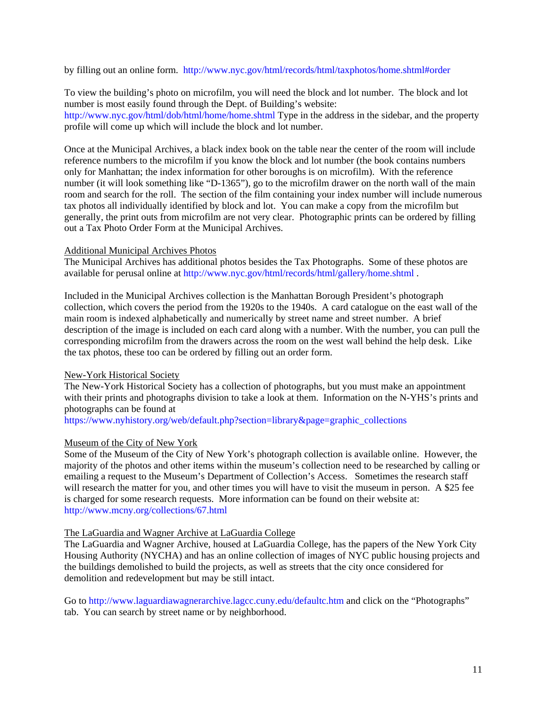by filling out an online form. <http://www.nyc.gov/html/records/html/taxphotos/home.shtml#order>

To view the building's photo on microfilm, you will need the block and lot number. The block and lot number is most easily found through the Dept. of Building's website: <http://www.nyc.gov/html/dob/html/home/home.shtml> Type in the address in the sidebar, and the property profile will come up which will include the block and lot number.

Once at the Municipal Archives, a black index book on the table near the center of the room will include reference numbers to the microfilm if you know the block and lot number (the book contains numbers only for Manhattan; the index information for other boroughs is on microfilm). With the reference number (it will look something like "D-1365"), go to the microfilm drawer on the north wall of the main room and search for the roll. The section of the film containing your index number will include numerous tax photos all individually identified by block and lot. You can make a copy from the microfilm but generally, the print outs from microfilm are not very clear. Photographic prints can be ordered by filling out a Tax Photo Order Form at the Municipal Archives.

## Additional Municipal Archives Photos

The Municipal Archives has additional photos besides the Tax Photographs. Some of these photos are available for perusal online at<http://www.nyc.gov/html/records/html/gallery/home.shtml>.

Included in the Municipal Archives collection is the Manhattan Borough President's photograph collection, which covers the period from the 1920s to the 1940s. A card catalogue on the east wall of the main room is indexed alphabetically and numerically by street name and street number. A brief description of the image is included on each card along with a number. With the number, you can pull the corresponding microfilm from the drawers across the room on the west wall behind the help desk. Like the tax photos, these too can be ordered by filling out an order form.

## New-York Historical Society

The New-York Historical Society has a collection of photographs, but you must make an appointment with their prints and photographs division to take a look at them. Information on the N-YHS's prints and photographs can be found at

[https://www.nyhistory.org/web/default.php?section=library&page=graphic\\_collections](https://www.nyhistory.org/web/default.php?section=library&page=graphic_collections) 

## Museum of the City of New York

Some of the Museum of the City of New York's photograph collection is available online. However, the majority of the photos and other items within the museum's collection need to be researched by calling or emailing a request to the Museum's Department of Collection's Access. Sometimes the research staff will research the matter for you, and other times you will have to visit the museum in person. A \$25 fee is charged for some research requests. More information can be found on their website at: <http://www.mcny.org/collections/67.html>

#### The LaGuardia and Wagner Archive at LaGuardia College

The LaGuardia and Wagner Archive, housed at LaGuardia College, has the papers of the New York City Housing Authority (NYCHA) and has an online collection of images of NYC public housing projects and the buildings demolished to build the projects, as well as streets that the city once considered for demolition and redevelopment but may be still intact.

Go to<http://www.laguardiawagnerarchive.lagcc.cuny.edu/defaultc.htm>and click on the "Photographs" tab. You can search by street name or by neighborhood.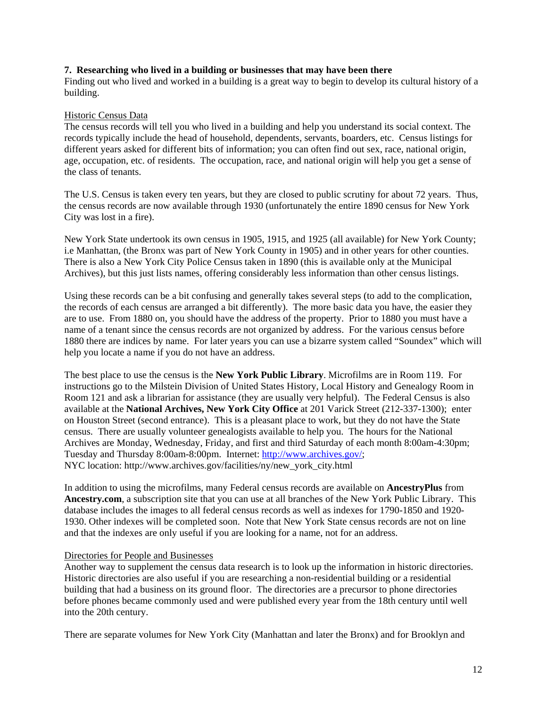### **7. Researching who lived in a building or businesses that may have been there**

Finding out who lived and worked in a building is a great way to begin to develop its cultural history of a building.

### Historic Census Data

The census records will tell you who lived in a building and help you understand its social context. The records typically include the head of household, dependents, servants, boarders, etc. Census listings for different years asked for different bits of information; you can often find out sex, race, national origin, age, occupation, etc. of residents. The occupation, race, and national origin will help you get a sense of the class of tenants.

The U.S. Census is taken every ten years, but they are closed to public scrutiny for about 72 years. Thus, the census records are now available through 1930 (unfortunately the entire 1890 census for New York City was lost in a fire).

New York State undertook its own census in 1905, 1915, and 1925 (all available) for New York County; i.e Manhattan, (the Bronx was part of New York County in 1905) and in other years for other counties. There is also a New York City Police Census taken in 1890 (this is available only at the Municipal Archives), but this just lists names, offering considerably less information than other census listings.

Using these records can be a bit confusing and generally takes several steps (to add to the complication, the records of each census are arranged a bit differently). The more basic data you have, the easier they are to use. From 1880 on, you should have the address of the property. Prior to 1880 you must have a name of a tenant since the census records are not organized by address. For the various census before 1880 there are indices by name. For later years you can use a bizarre system called "Soundex" which will help you locate a name if you do not have an address.

The best place to use the census is the **New York Public Library**. Microfilms are in Room 119. For instructions go to the Milstein Division of United States History, Local History and Genealogy Room in Room 121 and ask a librarian for assistance (they are usually very helpful). The Federal Census is also available at the **National Archives, New York City Office** at 201 Varick Street (212-337-1300); enter on Houston Street (second entrance). This is a pleasant place to work, but they do not have the State census. There are usually volunteer genealogists available to help you. The hours for the National Archives are Monday, Wednesday, Friday, and first and third Saturday of each month 8:00am-4:30pm; Tuesday and Thursday 8:00am-8:00pm. Internet: http://www.archives.gov/; NYC location: http://www.archives.gov/facilities/ny/new\_york\_city.html

In addition to using the microfilms, many Federal census records are available on **AncestryPlus** from **Ancestry.com**, a subscription site that you can use at all branches of the New York Public Library. This database includes the images to all federal census records as well as indexes for 1790-1850 and 1920- 1930. Other indexes will be completed soon. Note that New York State census records are not on line and that the indexes are only useful if you are looking for a name, not for an address.

#### Directories for People and Businesses

Another way to supplement the census data research is to look up the information in historic directories. Historic directories are also useful if you are researching a non-residential building or a residential building that had a business on its ground floor. The directories are a precursor to phone directories before phones became commonly used and were published every year from the 18th century until well into the 20th century.

There are separate volumes for New York City (Manhattan and later the Bronx) and for Brooklyn and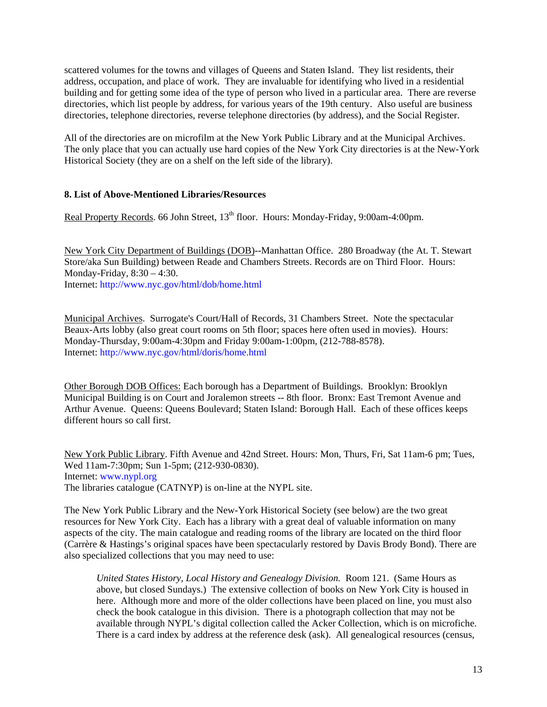scattered volumes for the towns and villages of Queens and Staten Island. They list residents, their address, occupation, and place of work. They are invaluable for identifying who lived in a residential building and for getting some idea of the type of person who lived in a particular area. There are reverse directories, which list people by address, for various years of the 19th century. Also useful are business directories, telephone directories, reverse telephone directories (by address), and the Social Register.

All of the directories are on microfilm at the New York Public Library and at the Municipal Archives. The only place that you can actually use hard copies of the New York City directories is at the New-York Historical Society (they are on a shelf on the left side of the library).

## **8. List of Above-Mentioned Libraries/Resources**

Real Property Records. 66 John Street, 13<sup>th</sup> floor. Hours: Monday-Friday, 9:00am-4:00pm.

New York City Department of Buildings (DOB)--Manhattan Office. 280 Broadway (the At. T. Stewart Store/aka Sun Building) between Reade and Chambers Streets. Records are on Third Floor. Hours: Monday-Friday, 8:30 – 4:30. Internet:<http://www.nyc.gov/html/dob/home.html>

Municipal Archives. Surrogate's Court/Hall of Records, 31 Chambers Street. Note the spectacular Beaux-Arts lobby (also great court rooms on 5th floor; spaces here often used in movies). Hours: Monday-Thursday, 9:00am-4:30pm and Friday 9:00am-1:00pm, (212-788-8578). Internet:<http://www.nyc.gov/html/doris/home.html>

Other Borough DOB Offices: Each borough has a Department of Buildings. Brooklyn: Brooklyn Municipal Building is on Court and Joralemon streets -- 8th floor. Bronx: East Tremont Avenue and Arthur Avenue. Queens: Queens Boulevard; Staten Island: Borough Hall. Each of these offices keeps different hours so call first.

New York Public Library. Fifth Avenue and 42nd Street. Hours: Mon, Thurs, Fri, Sat 11am-6 pm; Tues, Wed 11am-7:30pm; Sun 1-5pm; (212-930-0830). Internet: [www.nypl.org](http://www.nypl.org/)  The libraries catalogue (CATNYP) is on-line at the NYPL site.

The New York Public Library and the New-York Historical Society (see below) are the two great resources for New York City. Each has a library with a great deal of valuable information on many aspects of the city. The main catalogue and reading rooms of the library are located on the third floor (Carrère & Hastings's original spaces have been spectacularly restored by Davis Brody Bond). There are also specialized collections that you may need to use:

*United States History, Local History and Genealogy Division.* Room 121. (Same Hours as above, but closed Sundays.) The extensive collection of books on New York City is housed in here. Although more and more of the older collections have been placed on line, you must also check the book catalogue in this division. There is a photograph collection that may not be available through NYPL's digital collection called the Acker Collection, which is on microfiche. There is a card index by address at the reference desk (ask). All genealogical resources (census,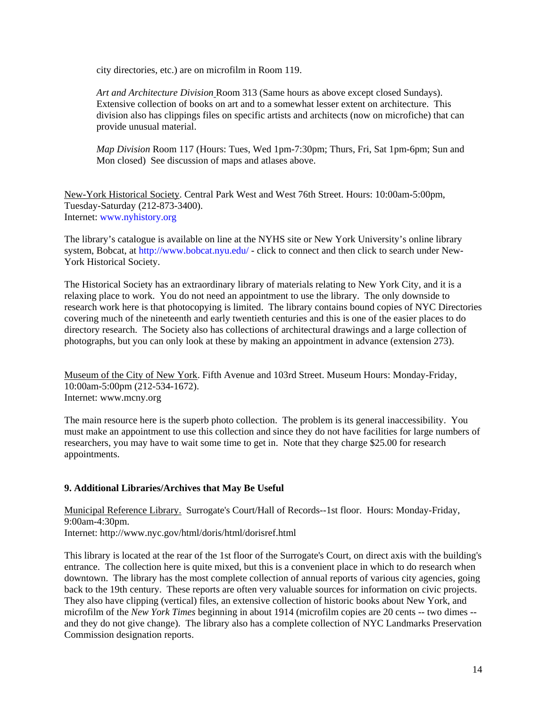city directories, etc.) are on microfilm in Room 119.

*Art and Architecture Division* Room 313 (Same hours as above except closed Sundays). Extensive collection of books on art and to a somewhat lesser extent on architecture. This division also has clippings files on specific artists and architects (now on microfiche) that can provide unusual material.

*Map Division* Room 117 (Hours: Tues, Wed 1pm-7:30pm; Thurs, Fri, Sat 1pm-6pm; Sun and Mon closed) See discussion of maps and atlases above.

New-York Historical Society. Central Park West and West 76th Street. Hours: 10:00am-5:00pm, Tuesday-Saturday (212-873-3400). Internet: [www.nyhistory.org](http://www.nyhistory.org/) 

The library's catalogue is available on line at the NYHS site or New York University's online library system, Bobcat, at<http://www.bobcat.nyu.edu/>- click to connect and then click to search under New-York Historical Society.

The Historical Society has an extraordinary library of materials relating to New York City, and it is a relaxing place to work. You do not need an appointment to use the library. The only downside to research work here is that photocopying is limited. The library contains bound copies of NYC Directories covering much of the nineteenth and early twentieth centuries and this is one of the easier places to do directory research. The Society also has collections of architectural drawings and a large collection of photographs, but you can only look at these by making an appointment in advance (extension 273).

Museum of the City of New York. Fifth Avenue and 103rd Street. Museum Hours: Monday-Friday, 10:00am-5:00pm (212-534-1672). Internet: www.mcny.org

The main resource here is the superb photo collection. The problem is its general inaccessibility. You must make an appointment to use this collection and since they do not have facilities for large numbers of researchers, you may have to wait some time to get in. Note that they charge \$25.00 for research appointments.

# **9. Additional Libraries/Archives that May Be Useful**

Municipal Reference Library. Surrogate's Court/Hall of Records--1st floor. Hours: Monday-Friday, 9:00am-4:30pm. Internet: http://www.nyc.gov/html/doris/html/dorisref.html

This library is located at the rear of the 1st floor of the Surrogate's Court, on direct axis with the building's entrance. The collection here is quite mixed, but this is a convenient place in which to do research when downtown. The library has the most complete collection of annual reports of various city agencies, going back to the 19th century. These reports are often very valuable sources for information on civic projects. They also have clipping (vertical) files, an extensive collection of historic books about New York, and microfilm of the *New York Times* beginning in about 1914 (microfilm copies are 20 cents -- two dimes - and they do not give change). The library also has a complete collection of NYC Landmarks Preservation Commission designation reports.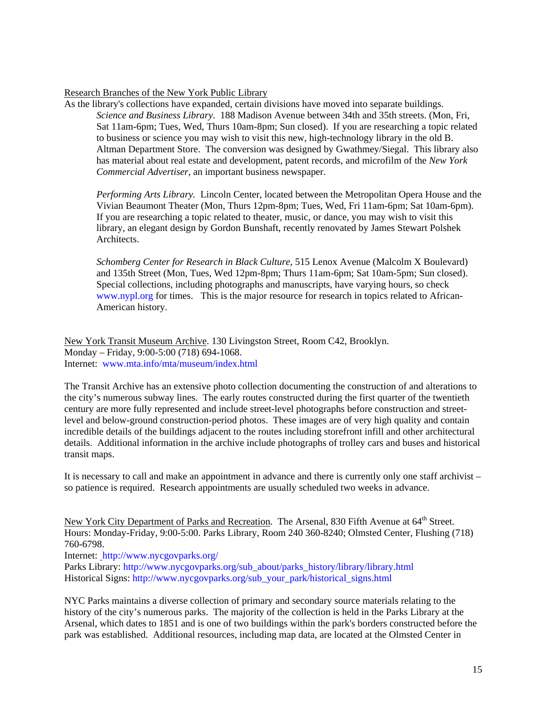## Research Branches of the New York Public Library

As the library's collections have expanded, certain divisions have moved into separate buildings. *Science and Business Library*. 188 Madison Avenue between 34th and 35th streets. (Mon, Fri, Sat 11am-6pm; Tues, Wed, Thurs 10am-8pm; Sun closed). If you are researching a topic related to business or science you may wish to visit this new, high-technology library in the old B. Altman Department Store. The conversion was designed by Gwathmey/Siegal. This library also has material about real estate and development, patent records, and microfilm of the *New York Commercial Advertiser*, an important business newspaper.

*Performing Arts Library.* Lincoln Center, located between the Metropolitan Opera House and the Vivian Beaumont Theater (Mon, Thurs 12pm-8pm; Tues, Wed, Fri 11am-6pm; Sat 10am-6pm). If you are researching a topic related to theater, music, or dance, you may wish to visit this library, an elegant design by Gordon Bunshaft, recently renovated by James Stewart Polshek Architects.

*Schomberg Center for Research in Black Culture*, 515 Lenox Avenue (Malcolm X Boulevard) and 135th Street (Mon, Tues, Wed 12pm-8pm; Thurs 11am-6pm; Sat 10am-5pm; Sun closed). Special collections, including photographs and manuscripts, have varying hours, so check [www.nypl.org](http://www.nypl.org/) for times. This is the major resource for research in topics related to African-American history.

New York Transit Museum Archive. 130 Livingston Street, Room C42, Brooklyn. Monday – Friday, 9:00-5:00 (718) 694-1068. Internet: [www.mta.info/mta/museum/index.html](http://www.mta.info/mta/museum/index.html) 

The Transit Archive has an extensive photo collection documenting the construction of and alterations to the city's numerous subway lines. The early routes constructed during the first quarter of the twentieth century are more fully represented and include street-level photographs before construction and streetlevel and below-ground construction-period photos. These images are of very high quality and contain incredible details of the buildings adjacent to the routes including storefront infill and other architectural details. Additional information in the archive include photographs of trolley cars and buses and historical transit maps.

It is necessary to call and make an appointment in advance and there is currently only one staff archivist – so patience is required. Research appointments are usually scheduled two weeks in advance.

New York City Department of Parks and Recreation. The Arsenal, 830 Fifth Avenue at 64<sup>th</sup> Street. Hours: Monday-Friday, 9:00-5:00. Parks Library, Room 240 360-8240; Olmsted Center, Flushing (718) 760-6798.

Internet: <http://www.nycgovparks.org/>

Parks Library: [http://www.nycgovparks.org/sub\\_about/parks\\_history/library/library.html](http://www.nycgovparks.org/sub_about/parks_history/library/library.html) Historical Signs: [http://www.nycgovparks.org/sub\\_your\\_park/historical\\_signs.html](http://www.nycgovparks.org/sub_your_park/historical_signs.html) 

NYC Parks maintains a diverse collection of primary and secondary source materials relating to the history of the city's numerous parks. The majority of the collection is held in the Parks Library at the Arsenal, which dates to 1851 and is one of two buildings within the park's borders constructed before the park was established. Additional resources, including map data, are located at the Olmsted Center in